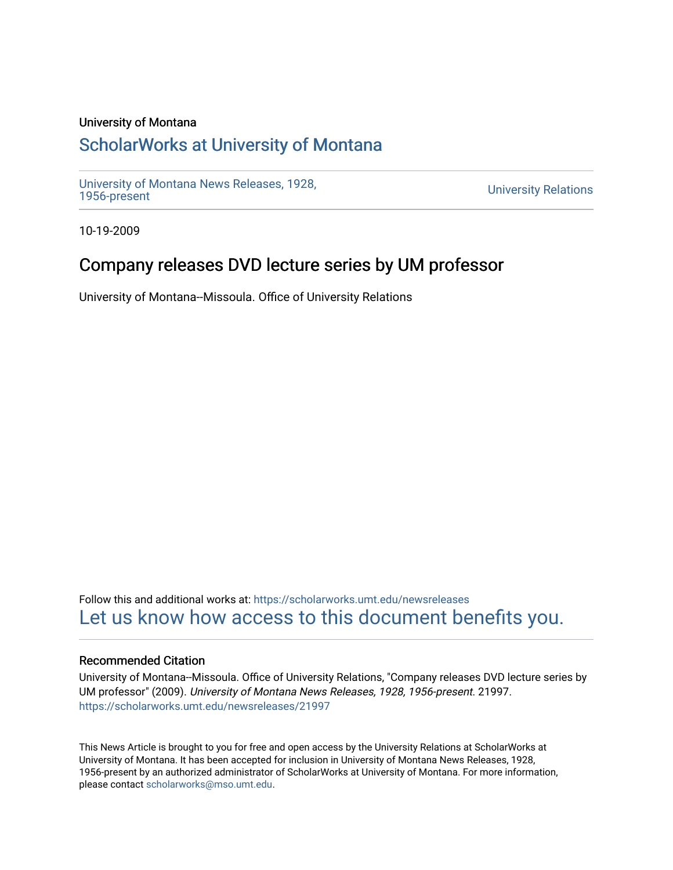### University of Montana

# [ScholarWorks at University of Montana](https://scholarworks.umt.edu/)

[University of Montana News Releases, 1928,](https://scholarworks.umt.edu/newsreleases) 

**University Relations** 

10-19-2009

# Company releases DVD lecture series by UM professor

University of Montana--Missoula. Office of University Relations

Follow this and additional works at: [https://scholarworks.umt.edu/newsreleases](https://scholarworks.umt.edu/newsreleases?utm_source=scholarworks.umt.edu%2Fnewsreleases%2F21997&utm_medium=PDF&utm_campaign=PDFCoverPages) [Let us know how access to this document benefits you.](https://goo.gl/forms/s2rGfXOLzz71qgsB2) 

#### Recommended Citation

University of Montana--Missoula. Office of University Relations, "Company releases DVD lecture series by UM professor" (2009). University of Montana News Releases, 1928, 1956-present. 21997. [https://scholarworks.umt.edu/newsreleases/21997](https://scholarworks.umt.edu/newsreleases/21997?utm_source=scholarworks.umt.edu%2Fnewsreleases%2F21997&utm_medium=PDF&utm_campaign=PDFCoverPages) 

This News Article is brought to you for free and open access by the University Relations at ScholarWorks at University of Montana. It has been accepted for inclusion in University of Montana News Releases, 1928, 1956-present by an authorized administrator of ScholarWorks at University of Montana. For more information, please contact [scholarworks@mso.umt.edu.](mailto:scholarworks@mso.umt.edu)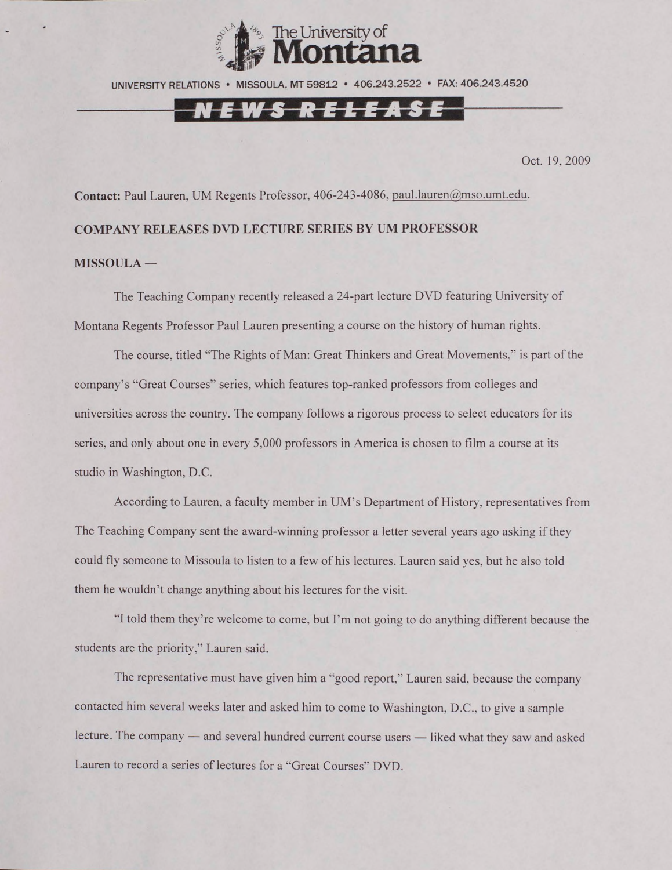

UNIVERSITY RELATIONS • MISSOULA. MT 59812 • 406.243.2522 • FAX: 406.243.4520

### N E W S R E L E A S E

Oct. 19, 2009

**Contact:** Paul Lauren, UM Regents Professor, 406-243-4086. [paul.lauren@mso.umt.edu](mailto:paul.lauren@mso.umt.edu).

#### **COMPANY RELEASES DVD LECTURE SERIES BY UM PROFESSOR**

#### **MISSOULA —**

The Teaching Company recently released a 24-part lecture DVD featuring University of Montana Regents Professor Paul Lauren presenting a course on the history of human rights.

The course, titled ''The Rights of Man: Great Thinkers and Great Movements," is part of the company's "Great Courses" series, which features top-ranked professors from colleges and universities across the country. The company follows a rigorous process to select educators for its series, and only about one in every 5,000 professors in America is chosen to film a course at its studio in Washington, D.C.

According to Lauren, a faculty member in UM's Department of History, representatives from The Teaching Company sent the award-winning professor a letter several years ago asking if they could fly someone to Missoula to listen to a few of his lectures. Lauren said yes. but he also told them he wouldn't change anything about his lectures for the visit.

"I told them they're welcome to come, but I'm not going to do anything different because the students are the priority," Lauren said.

The representative must have given him a "good report." Lauren said, because the company contacted him several weeks later and asked him to come to Washington. D.C., to give a sample lecture. The company — and several hundred current course users — liked what they saw and asked Lauren to record a series of lectures for a "Great Courses" DVD.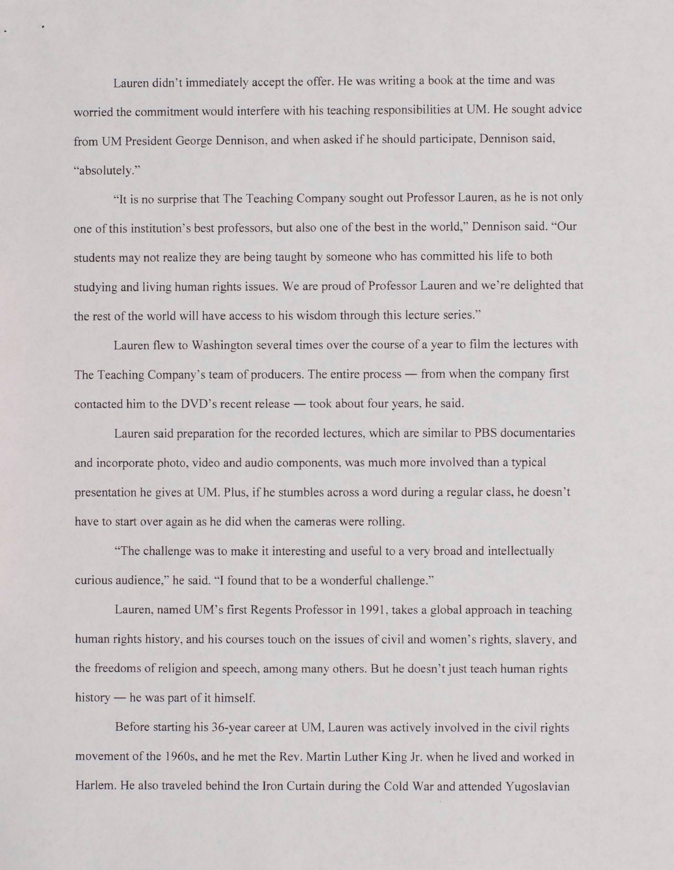Lauren didn't immediately accept the offer. He was writing a book at the time and was worried the commitment would interfere with his teaching responsibilities at UM. He sought advice from UM President George Dennison, and when asked if he should participate, Dennison said, "absolutely."

"It is no surprise that The Teaching Company sought out Professor Lauren, as he is not only one of this institution's best professors, but also one of the best in the world." Dennison said. "Our students may not realize they are being taught by someone who has committed his life to both studying and living human rights issues. We are proud of Professor Lauren and we're delighted that the rest of the world will have access to his wisdom through this lecture series."

Lauren flew to Washington several times over the course of a year to film the lectures with The Teaching Company's team of producers. The entire process — from when the company first contacted him to the DVD's recent release — took about four years, he said.

Lauren said preparation for the recorded lectures, which are similar to PBS documentaries and incorporate photo, video and audio components, was much more involved than a typical presentation he gives at UM. Plus, if he stumbles across a word during a regular class, he doesn't have to start over again as he did when the cameras were rolling.

"The challenge was to make it interesting and useful to a very broad and intellectually curious audience," he said. "I found that to be a wonderful challenge."

Lauren, named UM's first Regents Professor in 1991, takes a global approach in teaching human rights history, and his courses touch on the issues of civil and women's rights, slavery, and the freedoms of religion and speech, among many others. But he doesn't just teach human rights history — he was part of it himself.

Before starting his 36-year career at UM. Lauren was actively involved in the civil rights movement of the 1960s, and he met the Rev. Martin Luther King Jr. when he lived and worked in Harlem. He also traveled behind the Iron Curtain during the Cold War and attended Yugoslavian